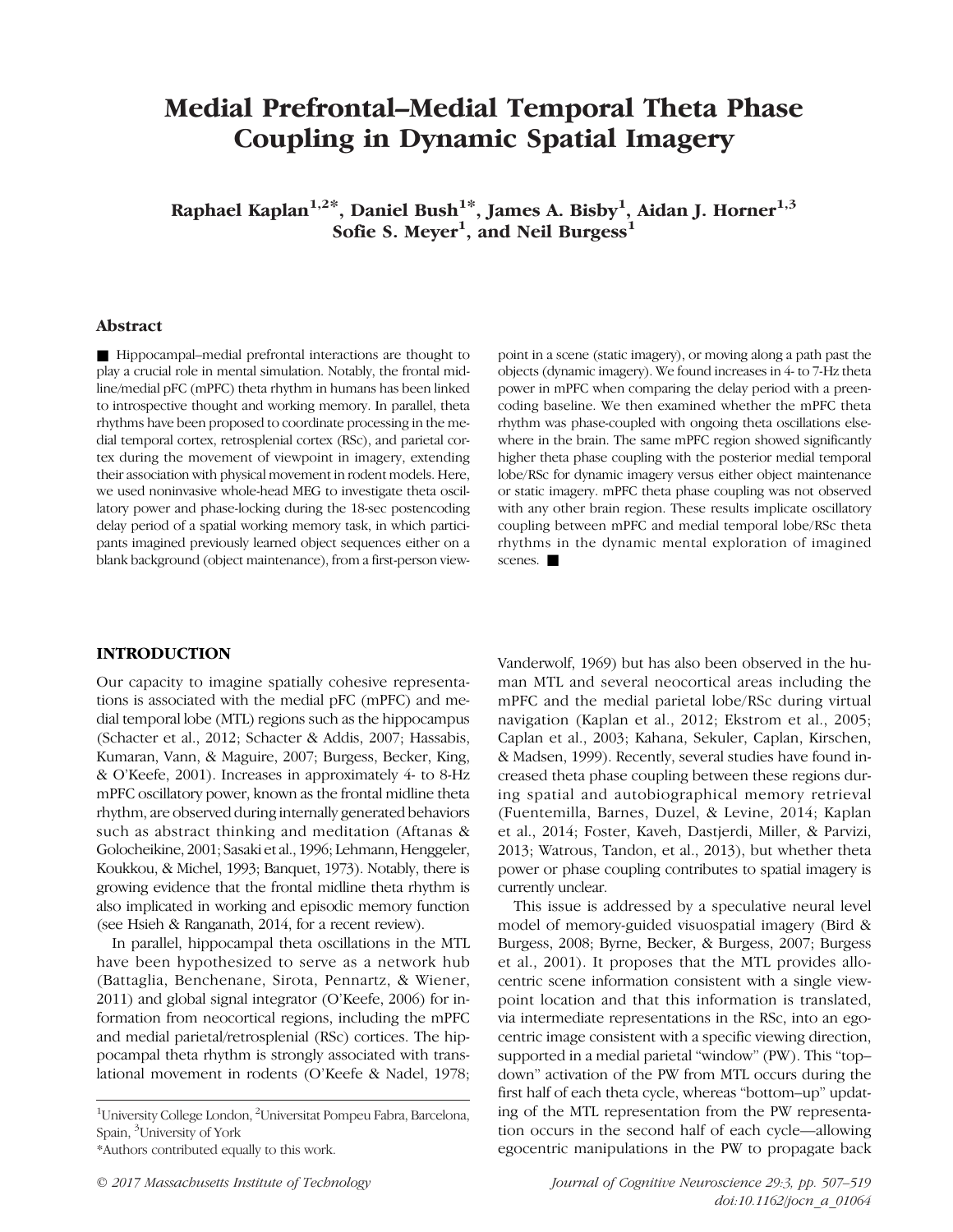# Medial Prefrontal–Medial Temporal Theta Phase Coupling in Dynamic Spatial Imagery

Raphael Kaplan $^{1,2\ast},$  Daniel Bush $^{1\ast},$  James A. Bisby $^{1},$  Aidan J. Horner $^{1,3}$ Sofie S. Meyer<sup>1</sup>, and Neil Burgess<sup>1</sup>

### Abstract

■ Hippocampal–medial prefrontal interactions are thought to play a crucial role in mental simulation. Notably, the frontal midline/medial pFC (mPFC) theta rhythm in humans has been linked to introspective thought and working memory. In parallel, theta rhythms have been proposed to coordinate processing in the medial temporal cortex, retrosplenial cortex (RSc), and parietal cortex during the movement of viewpoint in imagery, extending their association with physical movement in rodent models. Here, we used noninvasive whole-head MEG to investigate theta oscillatory power and phase-locking during the 18-sec postencoding delay period of a spatial working memory task, in which participants imagined previously learned object sequences either on a blank background (object maintenance), from a first-person view-

point in a scene (static imagery), or moving along a path past the objects (dynamic imagery). We found increases in 4- to 7-Hz theta power in mPFC when comparing the delay period with a preencoding baseline. We then examined whether the mPFC theta rhythm was phase-coupled with ongoing theta oscillations elsewhere in the brain. The same mPFC region showed significantly higher theta phase coupling with the posterior medial temporal lobe/RSc for dynamic imagery versus either object maintenance or static imagery. mPFC theta phase coupling was not observed with any other brain region. These results implicate oscillatory coupling between mPFC and medial temporal lobe/RSc theta rhythms in the dynamic mental exploration of imagined scenes.

# INTRODUCTION

Our capacity to imagine spatially cohesive representations is associated with the medial pFC (mPFC) and medial temporal lobe (MTL) regions such as the hippocampus (Schacter et al., 2012; Schacter & Addis, 2007; Hassabis, Kumaran, Vann, & Maguire, 2007; Burgess, Becker, King, & O'Keefe, 2001). Increases in approximately 4- to 8-Hz mPFC oscillatory power, known as the frontal midline theta rhythm, are observed during internally generated behaviors such as abstract thinking and meditation (Aftanas & Golocheikine, 2001; Sasaki et al., 1996; Lehmann, Henggeler, Koukkou, & Michel, 1993; Banquet, 1973). Notably, there is growing evidence that the frontal midline theta rhythm is also implicated in working and episodic memory function (see Hsieh & Ranganath, 2014, for a recent review).

In parallel, hippocampal theta oscillations in the MTL have been hypothesized to serve as a network hub (Battaglia, Benchenane, Sirota, Pennartz, & Wiener, 2011) and global signal integrator (O'Keefe, 2006) for information from neocortical regions, including the mPFC and medial parietal/retrosplenial (RSc) cortices. The hippocampal theta rhythm is strongly associated with translational movement in rodents (O'Keefe & Nadel, 1978;

<sup>1</sup>University College London, <sup>2</sup>Universitat Pompeu Fabra, Barcelona, Spain, <sup>3</sup> University of York

\*Authors contributed equally to this work.

Vanderwolf, 1969) but has also been observed in the human MTL and several neocortical areas including the mPFC and the medial parietal lobe/RSc during virtual navigation (Kaplan et al., 2012; Ekstrom et al., 2005; Caplan et al., 2003; Kahana, Sekuler, Caplan, Kirschen, & Madsen, 1999). Recently, several studies have found increased theta phase coupling between these regions during spatial and autobiographical memory retrieval (Fuentemilla, Barnes, Duzel, & Levine, 2014; Kaplan et al., 2014; Foster, Kaveh, Dastjerdi, Miller, & Parvizi, 2013; Watrous, Tandon, et al., 2013), but whether theta power or phase coupling contributes to spatial imagery is currently unclear.

This issue is addressed by a speculative neural level model of memory-guided visuospatial imagery (Bird & Burgess, 2008; Byrne, Becker, & Burgess, 2007; Burgess et al., 2001). It proposes that the MTL provides allocentric scene information consistent with a single viewpoint location and that this information is translated, via intermediate representations in the RSc, into an egocentric image consistent with a specific viewing direction, supported in a medial parietal "window" (PW). This "top– down" activation of the PW from MTL occurs during the first half of each theta cycle, whereas "bottom–up" updating of the MTL representation from the PW representation occurs in the second half of each cycle—allowing egocentric manipulations in the PW to propagate back

© 2017 Massachusetts Institute of Technology Journal of Cognitive Neuroscience 29:3, pp. 507–519 doi:10.1162/jocn\_a\_01064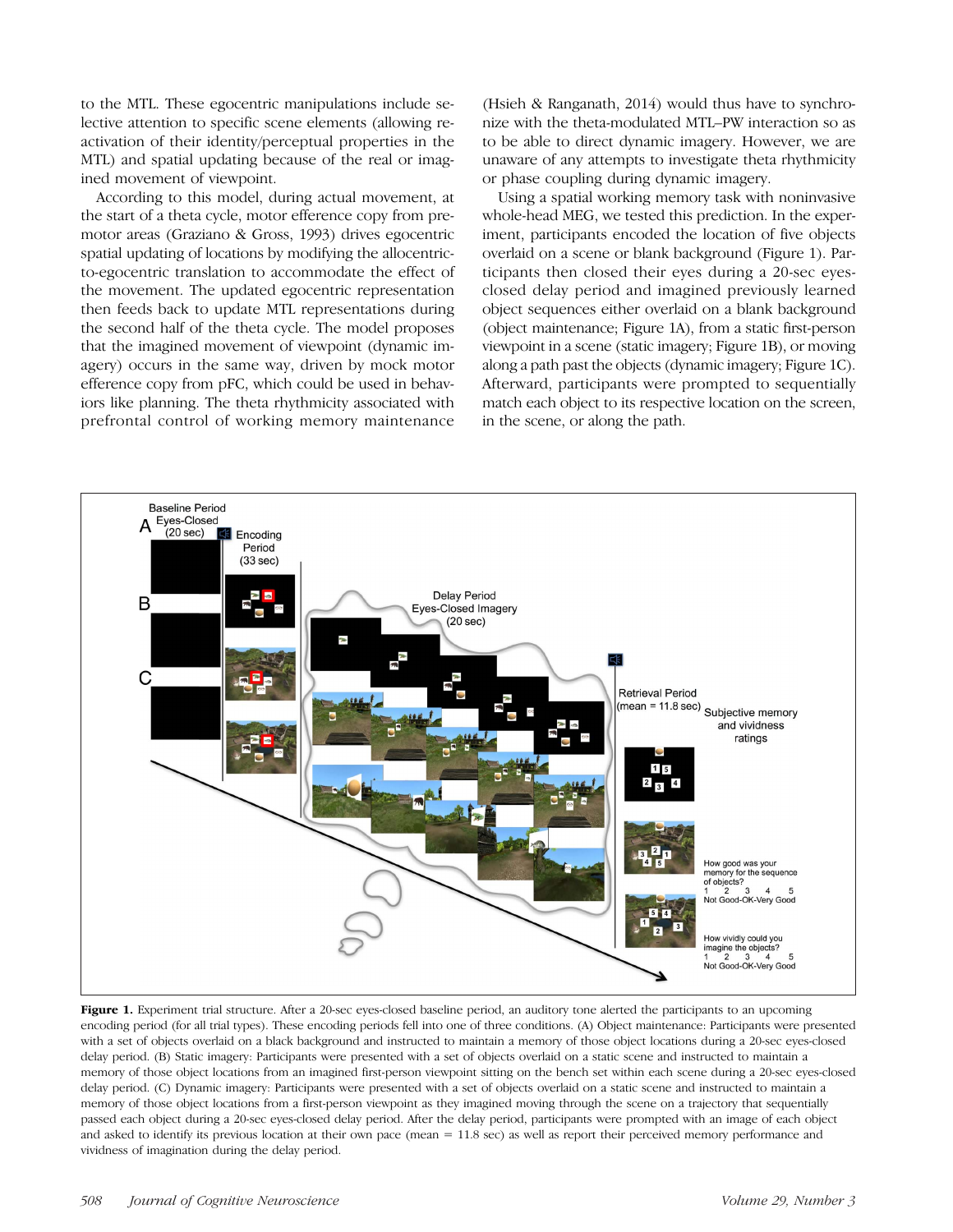to the MTL. These egocentric manipulations include selective attention to specific scene elements (allowing reactivation of their identity/perceptual properties in the MTL) and spatial updating because of the real or imagined movement of viewpoint.

According to this model, during actual movement, at the start of a theta cycle, motor efference copy from premotor areas (Graziano & Gross, 1993) drives egocentric spatial updating of locations by modifying the allocentricto-egocentric translation to accommodate the effect of the movement. The updated egocentric representation then feeds back to update MTL representations during the second half of the theta cycle. The model proposes that the imagined movement of viewpoint (dynamic imagery) occurs in the same way, driven by mock motor efference copy from pFC, which could be used in behaviors like planning. The theta rhythmicity associated with prefrontal control of working memory maintenance

(Hsieh & Ranganath, 2014) would thus have to synchronize with the theta-modulated MTL–PW interaction so as to be able to direct dynamic imagery. However, we are unaware of any attempts to investigate theta rhythmicity or phase coupling during dynamic imagery.

Using a spatial working memory task with noninvasive whole-head MEG, we tested this prediction. In the experiment, participants encoded the location of five objects overlaid on a scene or blank background (Figure 1). Participants then closed their eyes during a 20-sec eyesclosed delay period and imagined previously learned object sequences either overlaid on a blank background (object maintenance; Figure 1A), from a static first-person viewpoint in a scene (static imagery; Figure 1B), or moving along a path past the objects (dynamic imagery; Figure 1C). Afterward, participants were prompted to sequentially match each object to its respective location on the screen, in the scene, or along the path.



Figure 1. Experiment trial structure. After a 20-sec eyes-closed baseline period, an auditory tone alerted the participants to an upcoming encoding period (for all trial types). These encoding periods fell into one of three conditions. (A) Object maintenance: Participants were presented with a set of objects overlaid on a black background and instructed to maintain a memory of those object locations during a 20-sec eyes-closed delay period. (B) Static imagery: Participants were presented with a set of objects overlaid on a static scene and instructed to maintain a memory of those object locations from an imagined first-person viewpoint sitting on the bench set within each scene during a 20-sec eyes-closed delay period. (C) Dynamic imagery: Participants were presented with a set of objects overlaid on a static scene and instructed to maintain a memory of those object locations from a first-person viewpoint as they imagined moving through the scene on a trajectory that sequentially passed each object during a 20-sec eyes-closed delay period. After the delay period, participants were prompted with an image of each object and asked to identify its previous location at their own pace (mean = 11.8 sec) as well as report their perceived memory performance and vividness of imagination during the delay period.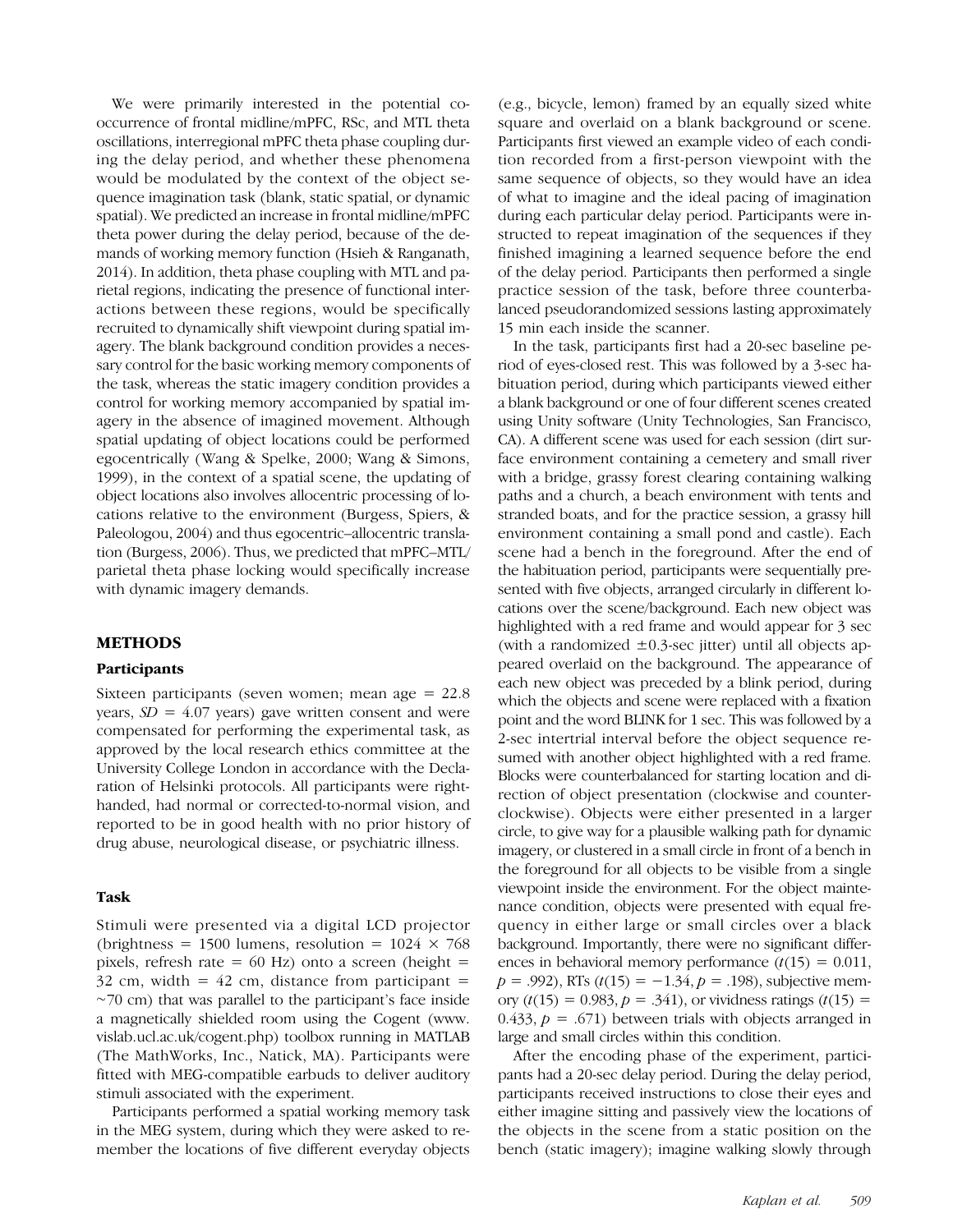We were primarily interested in the potential cooccurrence of frontal midline/mPFC, RSc, and MTL theta oscillations, interregional mPFC theta phase coupling during the delay period, and whether these phenomena would be modulated by the context of the object sequence imagination task (blank, static spatial, or dynamic spatial). We predicted an increase in frontal midline/mPFC theta power during the delay period, because of the demands of working memory function (Hsieh & Ranganath, 2014). In addition, theta phase coupling with MTL and parietal regions, indicating the presence of functional interactions between these regions, would be specifically recruited to dynamically shift viewpoint during spatial imagery. The blank background condition provides a necessary control for the basic working memory components of the task, whereas the static imagery condition provides a control for working memory accompanied by spatial imagery in the absence of imagined movement. Although spatial updating of object locations could be performed egocentrically (Wang & Spelke, 2000; Wang & Simons, 1999), in the context of a spatial scene, the updating of object locations also involves allocentric processing of locations relative to the environment (Burgess, Spiers, & Paleologou, 2004) and thus egocentric–allocentric translation (Burgess, 2006). Thus, we predicted that mPFC–MTL/ parietal theta phase locking would specifically increase with dynamic imagery demands.

# METHODS

#### Participants

Sixteen participants (seven women; mean age = 22.8 years,  $SD = 4.07$  years) gave written consent and were compensated for performing the experimental task, as approved by the local research ethics committee at the University College London in accordance with the Declaration of Helsinki protocols. All participants were righthanded, had normal or corrected-to-normal vision, and reported to be in good health with no prior history of drug abuse, neurological disease, or psychiatric illness.

# Task

Stimuli were presented via a digital LCD projector (brightness = 1500 lumens, resolution =  $1024 \times 768$ ) pixels, refresh rate =  $60$  Hz) onto a screen (height =  $32$  cm, width =  $42$  cm, distance from participant = ∼70 cm) that was parallel to the participant's face inside a magnetically shielded room using the Cogent (www. vislab.ucl.ac.uk/cogent.php) toolbox running in MATLAB (The MathWorks, Inc., Natick, MA). Participants were fitted with MEG-compatible earbuds to deliver auditory stimuli associated with the experiment.

Participants performed a spatial working memory task in the MEG system, during which they were asked to remember the locations of five different everyday objects

(e.g., bicycle, lemon) framed by an equally sized white square and overlaid on a blank background or scene. Participants first viewed an example video of each condition recorded from a first-person viewpoint with the same sequence of objects, so they would have an idea of what to imagine and the ideal pacing of imagination during each particular delay period. Participants were instructed to repeat imagination of the sequences if they finished imagining a learned sequence before the end of the delay period. Participants then performed a single practice session of the task, before three counterbalanced pseudorandomized sessions lasting approximately 15 min each inside the scanner.

In the task, participants first had a 20-sec baseline period of eyes-closed rest. This was followed by a 3-sec habituation period, during which participants viewed either a blank background or one of four different scenes created using Unity software (Unity Technologies, San Francisco, CA). A different scene was used for each session (dirt surface environment containing a cemetery and small river with a bridge, grassy forest clearing containing walking paths and a church, a beach environment with tents and stranded boats, and for the practice session, a grassy hill environment containing a small pond and castle). Each scene had a bench in the foreground. After the end of the habituation period, participants were sequentially presented with five objects, arranged circularly in different locations over the scene/background. Each new object was highlighted with a red frame and would appear for 3 sec (with a randomized  $\pm 0.3$ -sec jitter) until all objects appeared overlaid on the background. The appearance of each new object was preceded by a blink period, during which the objects and scene were replaced with a fixation point and the word BLINK for 1 sec. This was followed by a 2-sec intertrial interval before the object sequence resumed with another object highlighted with a red frame. Blocks were counterbalanced for starting location and direction of object presentation (clockwise and counterclockwise). Objects were either presented in a larger circle, to give way for a plausible walking path for dynamic imagery, or clustered in a small circle in front of a bench in the foreground for all objects to be visible from a single viewpoint inside the environment. For the object maintenance condition, objects were presented with equal frequency in either large or small circles over a black background. Importantly, there were no significant differences in behavioral memory performance  $(t(15) = 0.011$ ,  $p = .992$ ), RTs ( $t(15) = -1.34$ ,  $p = .198$ ), subjective memory  $(t(15) = 0.983, p = .341)$ , or vividness ratings  $(t(15) =$ 0.433,  $p = .671$ ) between trials with objects arranged in large and small circles within this condition.

After the encoding phase of the experiment, participants had a 20-sec delay period. During the delay period, participants received instructions to close their eyes and either imagine sitting and passively view the locations of the objects in the scene from a static position on the bench (static imagery); imagine walking slowly through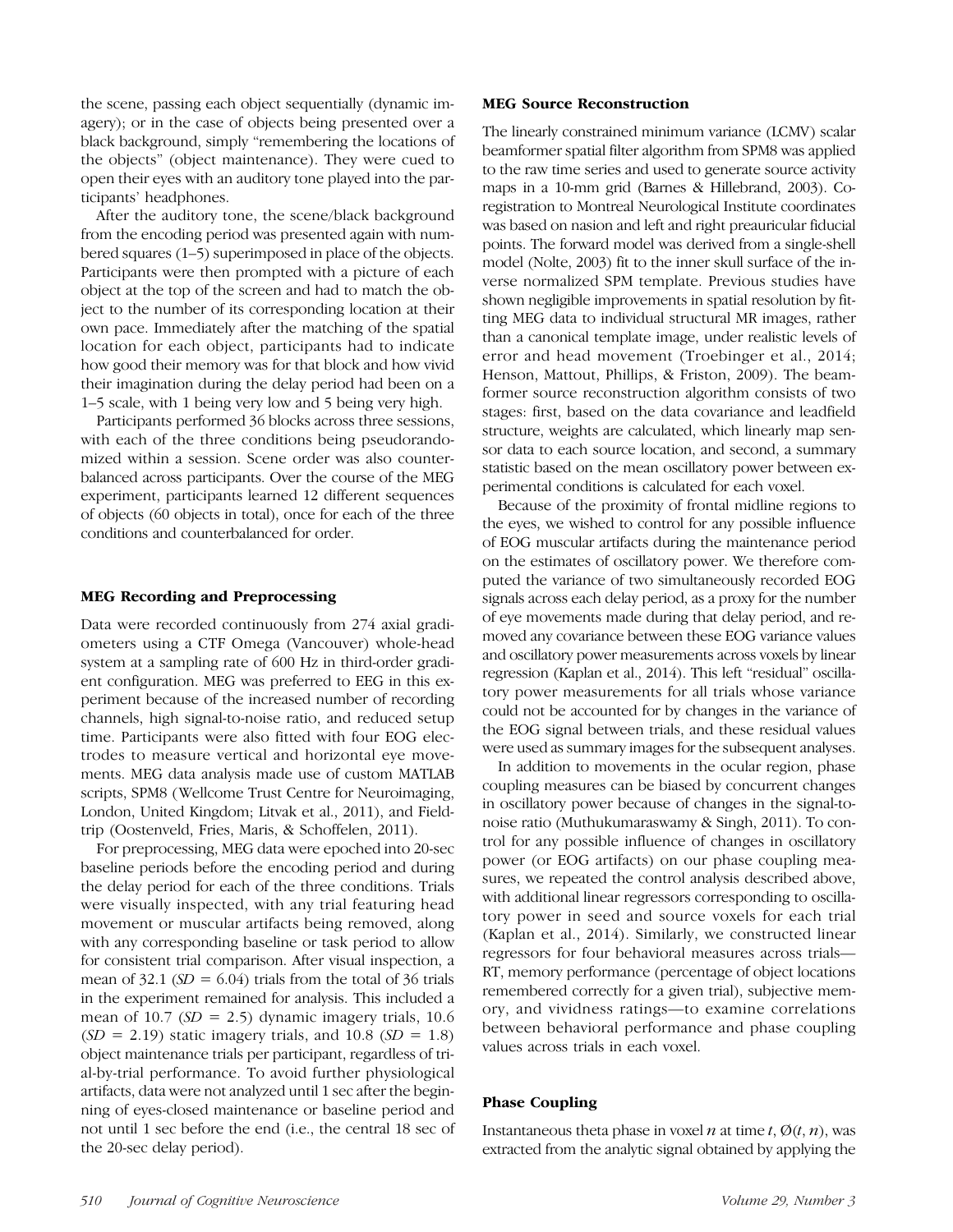the scene, passing each object sequentially (dynamic imagery); or in the case of objects being presented over a black background, simply "remembering the locations of the objects" (object maintenance). They were cued to open their eyes with an auditory tone played into the participants' headphones.

After the auditory tone, the scene/black background from the encoding period was presented again with numbered squares (1–5) superimposed in place of the objects. Participants were then prompted with a picture of each object at the top of the screen and had to match the object to the number of its corresponding location at their own pace. Immediately after the matching of the spatial location for each object, participants had to indicate how good their memory was for that block and how vivid their imagination during the delay period had been on a 1–5 scale, with 1 being very low and 5 being very high.

Participants performed 36 blocks across three sessions, with each of the three conditions being pseudorandomized within a session. Scene order was also counterbalanced across participants. Over the course of the MEG experiment, participants learned 12 different sequences of objects (60 objects in total), once for each of the three conditions and counterbalanced for order.

#### MEG Recording and Preprocessing

Data were recorded continuously from 274 axial gradiometers using a CTF Omega (Vancouver) whole-head system at a sampling rate of 600 Hz in third-order gradient configuration. MEG was preferred to EEG in this experiment because of the increased number of recording channels, high signal-to-noise ratio, and reduced setup time. Participants were also fitted with four EOG electrodes to measure vertical and horizontal eye movements. MEG data analysis made use of custom MATLAB scripts, SPM8 (Wellcome Trust Centre for Neuroimaging, London, United Kingdom; Litvak et al., 2011), and Fieldtrip (Oostenveld, Fries, Maris, & Schoffelen, 2011).

For preprocessing, MEG data were epoched into 20-sec baseline periods before the encoding period and during the delay period for each of the three conditions. Trials were visually inspected, with any trial featuring head movement or muscular artifacts being removed, along with any corresponding baseline or task period to allow for consistent trial comparison. After visual inspection, a mean of  $32.1$  (SD = 6.04) trials from the total of 36 trials in the experiment remained for analysis. This included a mean of 10.7 ( $SD = 2.5$ ) dynamic imagery trials, 10.6  $(SD = 2.19)$  static imagery trials, and 10.8  $(SD = 1.8)$ object maintenance trials per participant, regardless of trial-by-trial performance. To avoid further physiological artifacts, data were not analyzed until 1 sec after the beginning of eyes-closed maintenance or baseline period and not until 1 sec before the end (i.e., the central 18 sec of the 20-sec delay period).

# MEG Source Reconstruction

The linearly constrained minimum variance (LCMV) scalar beamformer spatial filter algorithm from SPM8 was applied to the raw time series and used to generate source activity maps in a 10-mm grid (Barnes & Hillebrand, 2003). Coregistration to Montreal Neurological Institute coordinates was based on nasion and left and right preauricular fiducial points. The forward model was derived from a single-shell model (Nolte, 2003) fit to the inner skull surface of the inverse normalized SPM template. Previous studies have shown negligible improvements in spatial resolution by fitting MEG data to individual structural MR images, rather than a canonical template image, under realistic levels of error and head movement (Troebinger et al., 2014; Henson, Mattout, Phillips, & Friston, 2009). The beamformer source reconstruction algorithm consists of two stages: first, based on the data covariance and leadfield structure, weights are calculated, which linearly map sensor data to each source location, and second, a summary statistic based on the mean oscillatory power between experimental conditions is calculated for each voxel.

Because of the proximity of frontal midline regions to the eyes, we wished to control for any possible influence of EOG muscular artifacts during the maintenance period on the estimates of oscillatory power. We therefore computed the variance of two simultaneously recorded EOG signals across each delay period, as a proxy for the number of eye movements made during that delay period, and removed any covariance between these EOG variance values and oscillatory power measurements across voxels by linear regression (Kaplan et al., 2014). This left "residual" oscillatory power measurements for all trials whose variance could not be accounted for by changes in the variance of the EOG signal between trials, and these residual values were used as summary images for the subsequent analyses.

In addition to movements in the ocular region, phase coupling measures can be biased by concurrent changes in oscillatory power because of changes in the signal-tonoise ratio (Muthukumaraswamy & Singh, 2011). To control for any possible influence of changes in oscillatory power (or EOG artifacts) on our phase coupling measures, we repeated the control analysis described above, with additional linear regressors corresponding to oscillatory power in seed and source voxels for each trial (Kaplan et al., 2014). Similarly, we constructed linear regressors for four behavioral measures across trials— RT, memory performance (percentage of object locations remembered correctly for a given trial), subjective memory, and vividness ratings—to examine correlations between behavioral performance and phase coupling values across trials in each voxel.

# Phase Coupling

Instantaneous theta phase in voxel *n* at time *t*,  $\emptyset$ (*t*, *n*), was extracted from the analytic signal obtained by applying the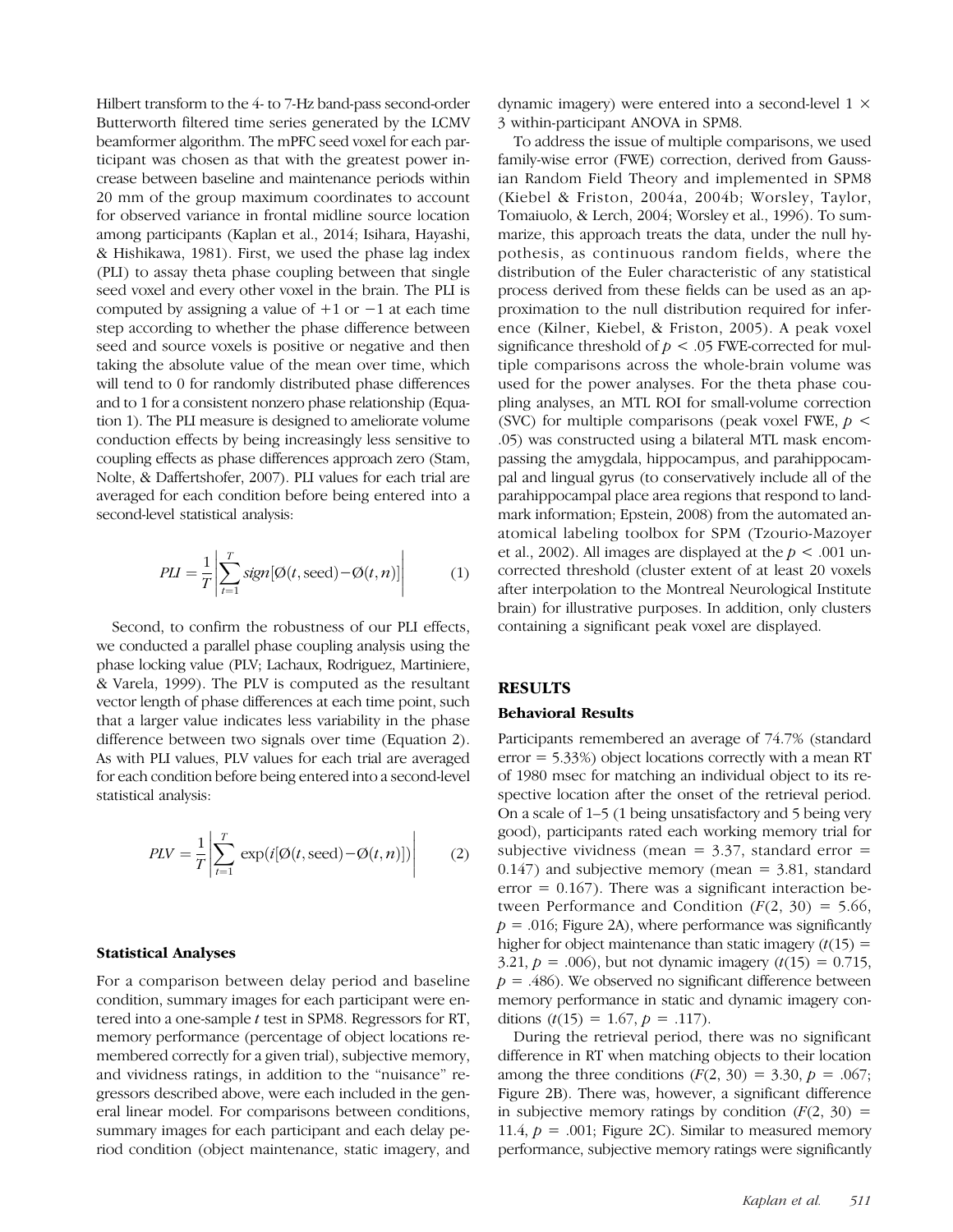Hilbert transform to the 4- to 7-Hz band-pass second-order Butterworth filtered time series generated by the LCMV beamformer algorithm. The mPFC seed voxel for each participant was chosen as that with the greatest power increase between baseline and maintenance periods within 20 mm of the group maximum coordinates to account for observed variance in frontal midline source location among participants (Kaplan et al., 2014; Isihara, Hayashi, & Hishikawa, 1981). First, we used the phase lag index (PLI) to assay theta phase coupling between that single seed voxel and every other voxel in the brain. The PLI is computed by assigning a value of  $+1$  or  $-1$  at each time step according to whether the phase difference between seed and source voxels is positive or negative and then taking the absolute value of the mean over time, which will tend to 0 for randomly distributed phase differences and to 1 for a consistent nonzero phase relationship (Equation 1). The PLI measure is designed to ameliorate volume conduction effects by being increasingly less sensitive to coupling effects as phase differences approach zero (Stam, Nolte, & Daffertshofer, 2007). PLI values for each trial are averaged for each condition before being entered into a second-level statistical analysis:

$$
PLI = \frac{1}{T} \left| \sum_{t=1}^{T} sign[\emptyset(t, \text{seed}) - \emptyset(t, n)] \right| \tag{1}
$$

Second, to confirm the robustness of our PLI effects, we conducted a parallel phase coupling analysis using the phase locking value (PLV; Lachaux, Rodriguez, Martiniere, & Varela, 1999). The PLV is computed as the resultant vector length of phase differences at each time point, such that a larger value indicates less variability in the phase difference between two signals over time (Equation 2). As with PLI values, PLV values for each trial are averaged for each condition before being entered into a second-level statistical analysis:

$$
PLV = \frac{1}{T} \left| \sum_{t=1}^{T} \exp(i[\emptyset(t, \text{seed}) - \emptyset(t, n)]) \right| \tag{2}
$$

#### Statistical Analyses

For a comparison between delay period and baseline condition, summary images for each participant were entered into a one-sample t test in SPM8. Regressors for RT, memory performance (percentage of object locations remembered correctly for a given trial), subjective memory, and vividness ratings, in addition to the "nuisance" regressors described above, were each included in the general linear model. For comparisons between conditions, summary images for each participant and each delay period condition (object maintenance, static imagery, and dynamic imagery) were entered into a second-level 1 × 3 within-participant ANOVA in SPM8.

To address the issue of multiple comparisons, we used family-wise error (FWE) correction, derived from Gaussian Random Field Theory and implemented in SPM8 (Kiebel & Friston, 2004a, 2004b; Worsley, Taylor, Tomaiuolo, & Lerch, 2004; Worsley et al., 1996). To summarize, this approach treats the data, under the null hypothesis, as continuous random fields, where the distribution of the Euler characteristic of any statistical process derived from these fields can be used as an approximation to the null distribution required for inference (Kilner, Kiebel, & Friston, 2005). A peak voxel significance threshold of  $p < .05$  FWE-corrected for multiple comparisons across the whole-brain volume was used for the power analyses. For the theta phase coupling analyses, an MTL ROI for small-volume correction (SVC) for multiple comparisons (peak voxel FWE,  $p \leq$ .05) was constructed using a bilateral MTL mask encompassing the amygdala, hippocampus, and parahippocampal and lingual gyrus (to conservatively include all of the parahippocampal place area regions that respond to landmark information; Epstein, 2008) from the automated anatomical labeling toolbox for SPM (Tzourio-Mazoyer et al., 2002). All images are displayed at the  $p < .001$  uncorrected threshold (cluster extent of at least 20 voxels after interpolation to the Montreal Neurological Institute brain) for illustrative purposes. In addition, only clusters containing a significant peak voxel are displayed.

### RESULTS

#### Behavioral Results

Participants remembered an average of 74.7% (standard error = 5.33%) object locations correctly with a mean RT of 1980 msec for matching an individual object to its respective location after the onset of the retrieval period. On a scale of 1–5 (1 being unsatisfactory and 5 being very good), participants rated each working memory trial for subjective vividness (mean  $=$  3.37, standard error  $=$  $0.147$ ) and subjective memory (mean = 3.81, standard error  $= 0.167$ ). There was a significant interaction between Performance and Condition  $(F(2, 30) = 5.66,$  $p = .016$ ; Figure 2A), where performance was significantly higher for object maintenance than static imagery  $(t(15) =$ 3.21,  $p = .006$ , but not dynamic imagery  $(t(15) = 0.715$ ,  $p = .486$ ). We observed no significant difference between memory performance in static and dynamic imagery conditions  $(t(15) = 1.67, p = .117)$ .

During the retrieval period, there was no significant difference in RT when matching objects to their location among the three conditions  $(F(2, 30) = 3.30, p = .067;$ Figure 2B). There was, however, a significant difference in subjective memory ratings by condition  $(F(2, 30))$  = 11.4,  $p = .001$ ; Figure 2C). Similar to measured memory performance, subjective memory ratings were significantly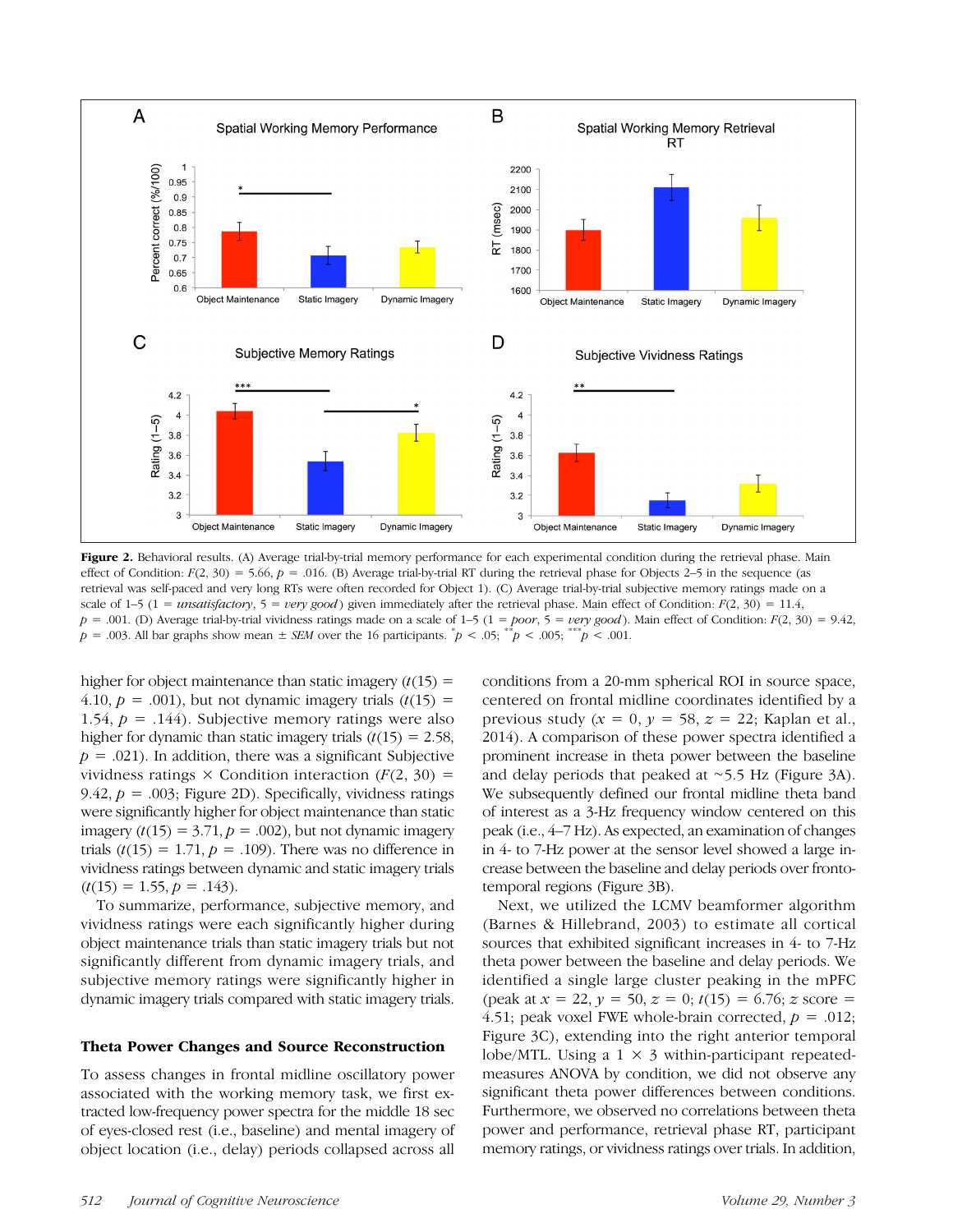

Figure 2. Behavioral results. (A) Average trial-by-trial memory performance for each experimental condition during the retrieval phase. Main effect of Condition:  $F(2, 30) = 5.66$ ,  $p = .016$ . (B) Average trial-by-trial RT during the retrieval phase for Objects 2–5 in the sequence (as retrieval was self-paced and very long RTs were often recorded for Object 1). (C) Average trial-by-trial subjective memory ratings made on a scale of 1–5 (1 = unsatisfactory, 5 = very good) given immediately after the retrieval phase. Main effect of Condition:  $F(2, 30) = 11.4$ ,  $p = .001$ . (D) Average trial-by-trial vividness ratings made on a scale of 1–5 (1 = poor, 5 = very good). Main effect of Condition:  $F(2, 30) = 9.42$ ,  $p = .003$ . All bar graphs show mean  $\pm$  SEM over the 16 participants.  $\bar{p}$  < .05;  $\bar{p}$  < .005;  $\bar{p}$  < .001.

higher for object maintenance than static imagery  $(t(15) =$ 4.10,  $p = .001$ ), but not dynamic imagery trials  $(t(15)) =$ 1.54,  $p = .144$ ). Subjective memory ratings were also higher for dynamic than static imagery trials  $(t(15) = 2.58$ ,  $p = .021$ ). In addition, there was a significant Subjective vividness ratings  $\times$  Condition interaction ( $F(2, 30)$  = 9.42,  $p = .003$ ; Figure 2D). Specifically, vividness ratings were significantly higher for object maintenance than static imagery  $(t(15) = 3.71, p = .002)$ , but not dynamic imagery trials  $(t(15) = 1.71, p = .109)$ . There was no difference in vividness ratings between dynamic and static imagery trials  $(t(15) = 1.55, p = .143)$ .

To summarize, performance, subjective memory, and vividness ratings were each significantly higher during object maintenance trials than static imagery trials but not significantly different from dynamic imagery trials, and subjective memory ratings were significantly higher in dynamic imagery trials compared with static imagery trials.

#### Theta Power Changes and Source Reconstruction

To assess changes in frontal midline oscillatory power associated with the working memory task, we first extracted low-frequency power spectra for the middle 18 sec of eyes-closed rest (i.e., baseline) and mental imagery of object location (i.e., delay) periods collapsed across all

conditions from a 20-mm spherical ROI in source space, centered on frontal midline coordinates identified by a previous study ( $x = 0$ ,  $y = 58$ ,  $z = 22$ ; Kaplan et al., 2014). A comparison of these power spectra identified a prominent increase in theta power between the baseline and delay periods that peaked at ∼5.5 Hz (Figure 3A). We subsequently defined our frontal midline theta band of interest as a 3-Hz frequency window centered on this peak (i.e., 4–7 Hz). As expected, an examination of changes in 4- to 7-Hz power at the sensor level showed a large increase between the baseline and delay periods over frontotemporal regions (Figure 3B).

Next, we utilized the LCMV beamformer algorithm (Barnes & Hillebrand, 2003) to estimate all cortical sources that exhibited significant increases in 4- to 7-Hz theta power between the baseline and delay periods. We identified a single large cluster peaking in the mPFC (peak at  $x = 22$ ,  $y = 50$ ,  $z = 0$ ;  $t(15) = 6.76$ ;  $z$  score = 4.51; peak voxel FWE whole-brain corrected,  $p = .012$ ; Figure 3C), extending into the right anterior temporal lobe/MTL. Using a  $1 \times 3$  within-participant repeatedmeasures ANOVA by condition, we did not observe any significant theta power differences between conditions. Furthermore, we observed no correlations between theta power and performance, retrieval phase RT, participant memory ratings, or vividness ratings over trials. In addition,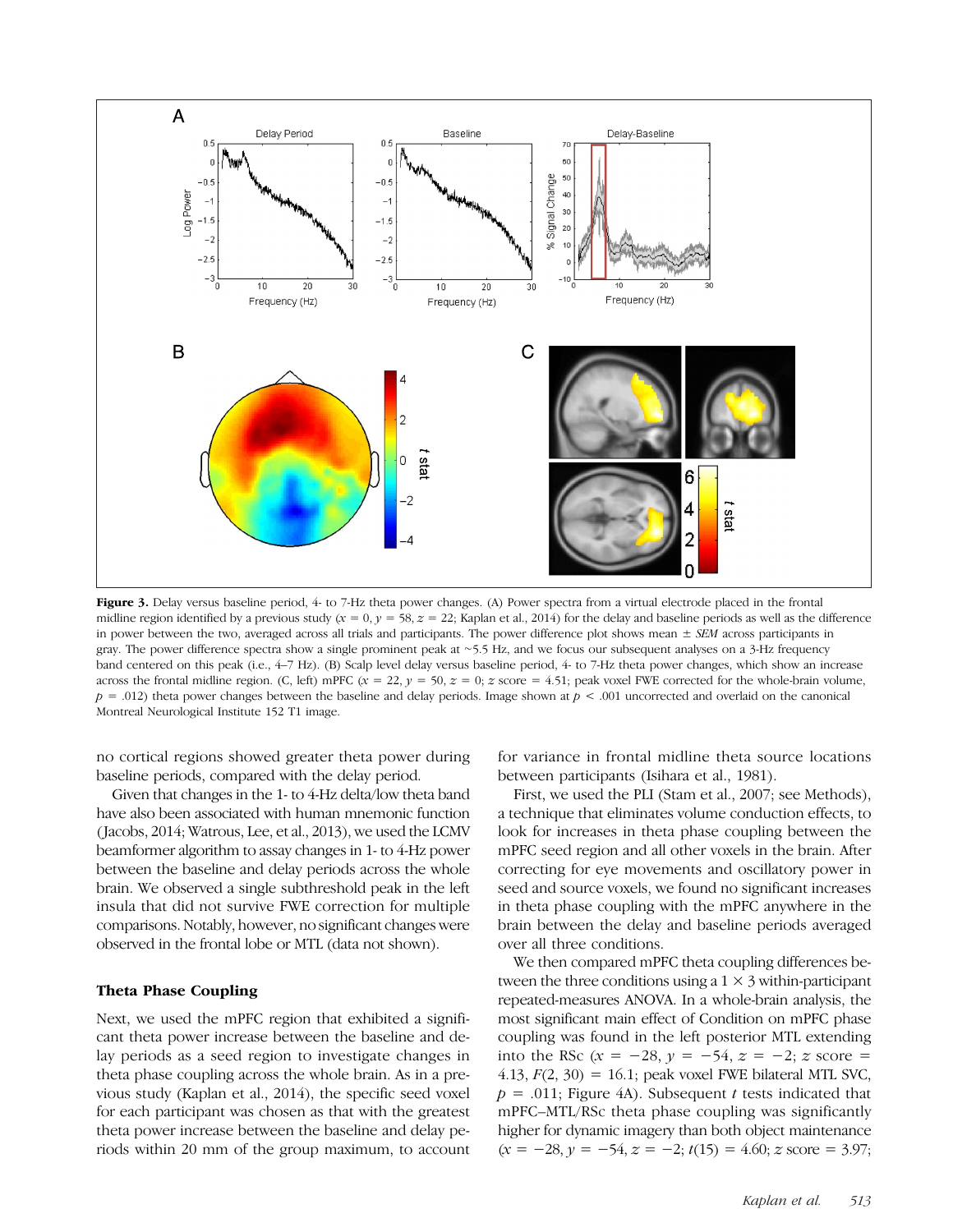

Figure 3. Delay versus baseline period, 4- to 7-Hz theta power changes. (A) Power spectra from a virtual electrode placed in the frontal midline region identified by a previous study  $(x = 0, y = 58, z = 22$ ; Kaplan et al., 2014) for the delay and baseline periods as well as the difference in power between the two, averaged across all trials and participants. The power difference plot shows mean  $\pm$  SEM across participants in gray. The power difference spectra show a single prominent peak at ∼5.5 Hz, and we focus our subsequent analyses on a 3-Hz frequency band centered on this peak (i.e., 4–7 Hz). (B) Scalp level delay versus baseline period, 4- to 7-Hz theta power changes, which show an increase across the frontal midline region. (C, left) mPFC ( $x = 22$ ,  $y = 50$ ,  $z = 0$ ;  $z$  score = 4.51; peak voxel FWE corrected for the whole-brain volume,  $p = .012$ ) theta power changes between the baseline and delay periods. Image shown at  $p < .001$  uncorrected and overlaid on the canonical Montreal Neurological Institute 152 T1 image.

no cortical regions showed greater theta power during baseline periods, compared with the delay period.

Given that changes in the 1- to 4-Hz delta/low theta band have also been associated with human mnemonic function ( Jacobs, 2014; Watrous, Lee, et al., 2013), we used the LCMV beamformer algorithm to assay changes in 1- to 4-Hz power between the baseline and delay periods across the whole brain. We observed a single subthreshold peak in the left insula that did not survive FWE correction for multiple comparisons. Notably, however, no significant changes were observed in the frontal lobe or MTL (data not shown).

#### Theta Phase Coupling

Next, we used the mPFC region that exhibited a significant theta power increase between the baseline and delay periods as a seed region to investigate changes in theta phase coupling across the whole brain. As in a previous study (Kaplan et al., 2014), the specific seed voxel for each participant was chosen as that with the greatest theta power increase between the baseline and delay periods within 20 mm of the group maximum, to account

for variance in frontal midline theta source locations between participants (Isihara et al., 1981).

First, we used the PLI (Stam et al., 2007; see Methods), a technique that eliminates volume conduction effects, to look for increases in theta phase coupling between the mPFC seed region and all other voxels in the brain. After correcting for eye movements and oscillatory power in seed and source voxels, we found no significant increases in theta phase coupling with the mPFC anywhere in the brain between the delay and baseline periods averaged over all three conditions.

We then compared mPFC theta coupling differences between the three conditions using a  $1 \times 3$  within-participant repeated-measures ANOVA. In a whole-brain analysis, the most significant main effect of Condition on mPFC phase coupling was found in the left posterior MTL extending into the RSc  $(x = -28, y = -54, z = -2; z$  score = 4.13,  $F(2, 30) = 16.1$ ; peak voxel FWE bilateral MTL SVC,  $p = .011$ ; Figure 4A). Subsequent t tests indicated that mPFC–MTL/RSc theta phase coupling was significantly higher for dynamic imagery than both object maintenance  $(x = -28, y = -54, z = -2; t(15) = 4.60; z$  score = 3.97;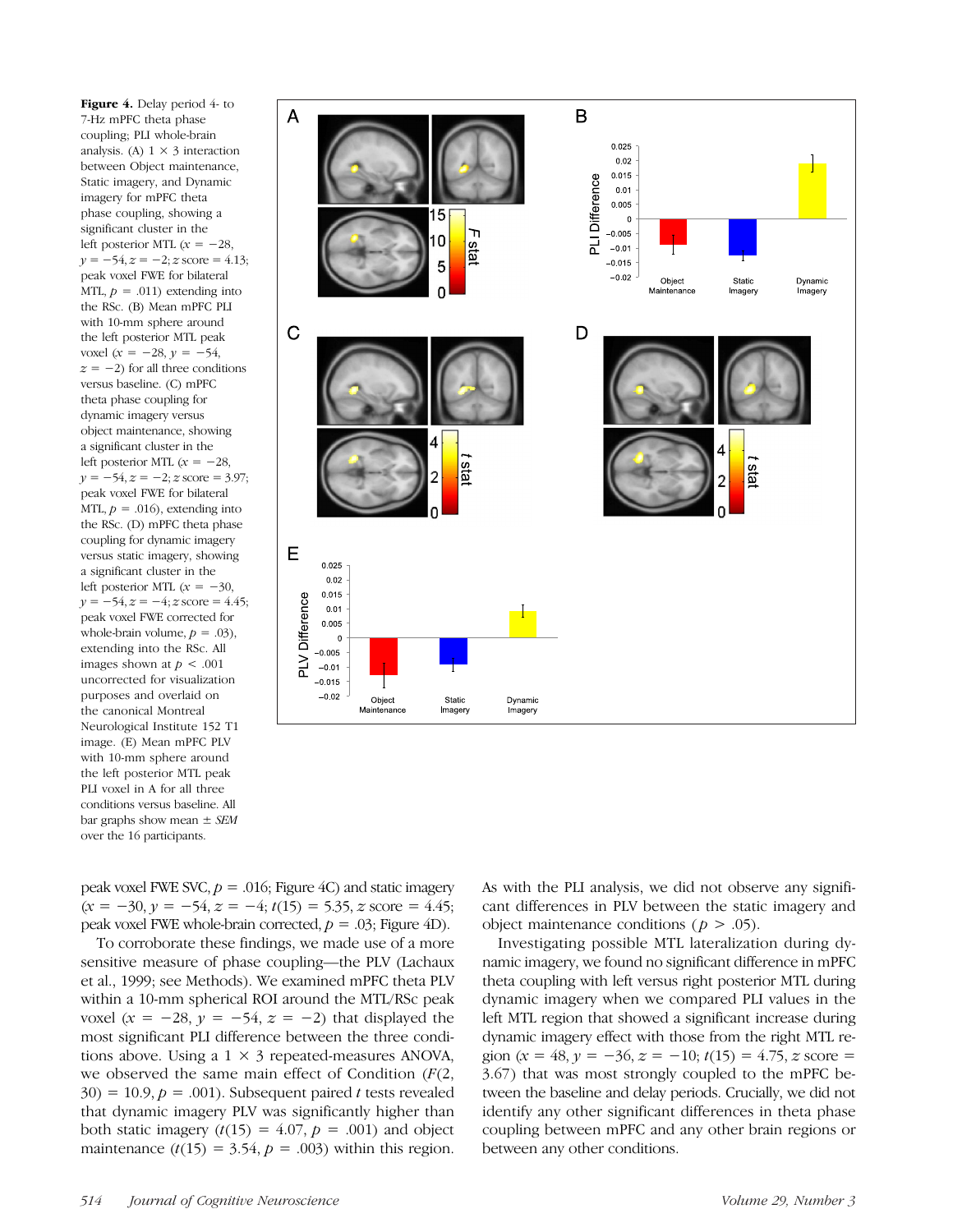Figure 4. Delay period 4- to 7-Hz mPFC theta phase coupling; PLI whole-brain analysis. (A)  $1 \times 3$  interaction between Object maintenance, Static imagery, and Dynamic imagery for mPFC theta phase coupling, showing a significant cluster in the left posterior MTL  $(x = -28,$  $y = -54$ ,  $z = -2$ ; z score = 4.13; peak voxel FWE for bilateral MTL,  $p = .011$ ) extending into the RSc. (B) Mean mPFC PLI with 10-mm sphere around the left posterior MTL peak voxel ( $x = -28$ ,  $y = -54$ ,  $z = -2$ ) for all three conditions versus baseline. (C) mPFC theta phase coupling for dynamic imagery versus object maintenance, showing a significant cluster in the left posterior MTL  $(x = -28,$  $y = -54, z = -2; z$  score = 3.97; peak voxel FWE for bilateral MTL,  $p = .016$ , extending into the RSc. (D) mPFC theta phase coupling for dynamic imagery versus static imagery, showing a significant cluster in the left posterior MTL  $(x = -30,$  $y = -54$ ,  $z = -4$ ; z score = 4.45; peak voxel FWE corrected for whole-brain volume,  $p = .03$ ), extending into the RSc. All images shown at  $p < .001$ uncorrected for visualization purposes and overlaid on the canonical Montreal Neurological Institute 152 T1 image. (E) Mean mPFC PLV with 10-mm sphere around the left posterior MTL peak PLI voxel in A for all three conditions versus baseline. All bar graphs show mean  $\pm$  SEM over the 16 participants.



peak voxel FWE SVC,  $p = .016$ ; Figure 4C) and static imagery  $(x = -30, y = -54, z = -4; t(15) = 5.35, z$  score = 4.45; peak voxel FWE whole-brain corrected,  $p = .03$ ; Figure 4D).

To corroborate these findings, we made use of a more sensitive measure of phase coupling—the PLV (Lachaux et al., 1999; see Methods). We examined mPFC theta PLV within a 10-mm spherical ROI around the MTL/RSc peak voxel ( $x = -28$ ,  $y = -54$ ,  $z = -2$ ) that displayed the most significant PLI difference between the three conditions above. Using a  $1 \times 3$  repeated-measures ANOVA, we observed the same main effect of Condition  $(F(2,$  $30) = 10.9, p = .001$ . Subsequent paired t tests revealed that dynamic imagery PLV was significantly higher than both static imagery  $(t(15) = 4.07, p = .001)$  and object maintenance  $(t(15) = 3.54, p = .003)$  within this region.

As with the PLI analysis, we did not observe any significant differences in PLV between the static imagery and object maintenance conditions ( $p > .05$ ).

Investigating possible MTL lateralization during dynamic imagery, we found no significant difference in mPFC theta coupling with left versus right posterior MTL during dynamic imagery when we compared PLI values in the left MTL region that showed a significant increase during dynamic imagery effect with those from the right MTL region (x = 48, y =  $-36$ , z =  $-10$ ;  $t(15) = 4.75$ , z score = 3.67) that was most strongly coupled to the mPFC between the baseline and delay periods. Crucially, we did not identify any other significant differences in theta phase coupling between mPFC and any other brain regions or between any other conditions.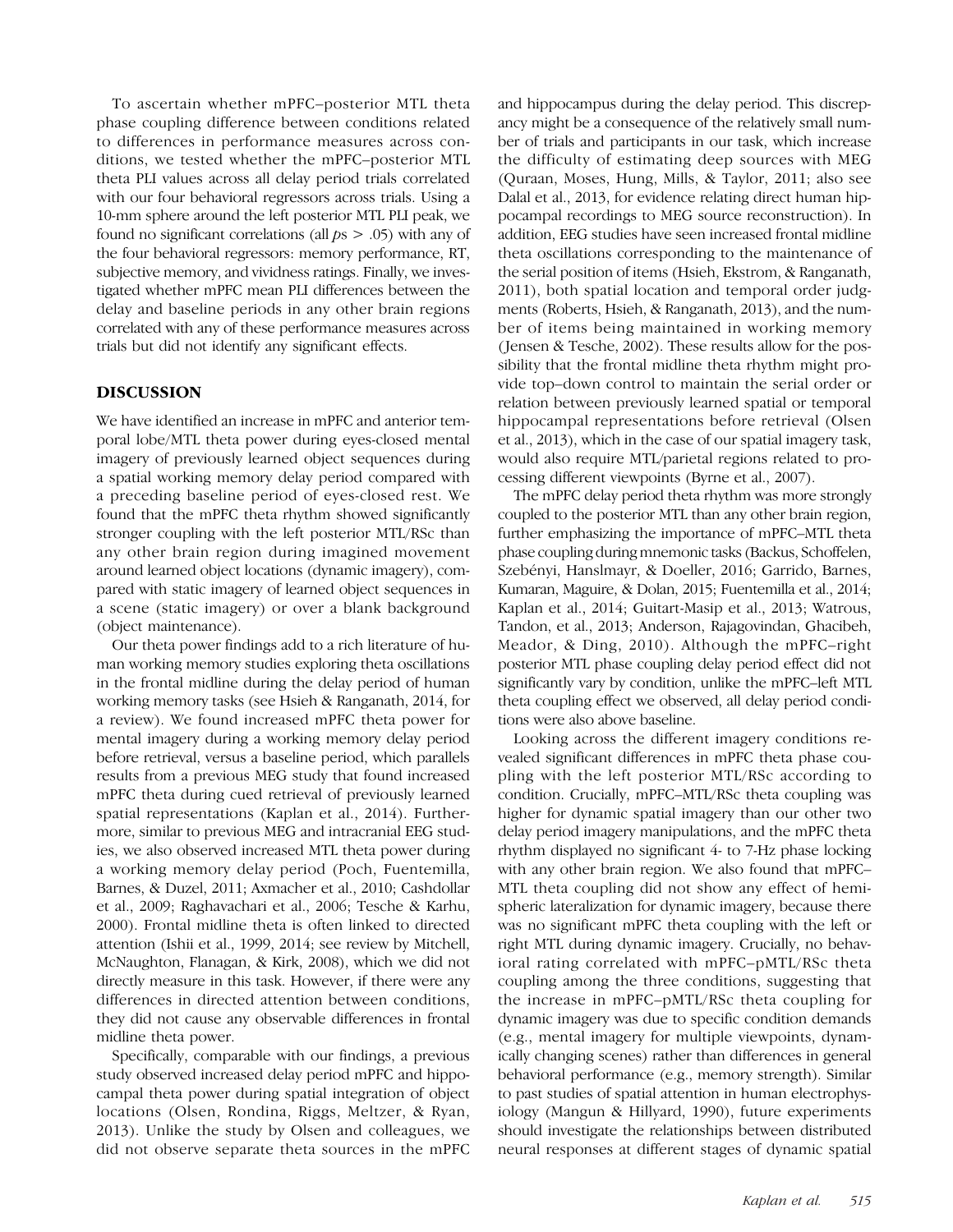To ascertain whether mPFC–posterior MTL theta phase coupling difference between conditions related to differences in performance measures across conditions, we tested whether the mPFC–posterior MTL theta PLI values across all delay period trials correlated with our four behavioral regressors across trials. Using a 10-mm sphere around the left posterior MTL PLI peak, we found no significant correlations (all  $ps > .05$ ) with any of the four behavioral regressors: memory performance, RT, subjective memory, and vividness ratings. Finally, we investigated whether mPFC mean PLI differences between the delay and baseline periods in any other brain regions correlated with any of these performance measures across trials but did not identify any significant effects.

# DISCUSSION

We have identified an increase in mPFC and anterior temporal lobe/MTL theta power during eyes-closed mental imagery of previously learned object sequences during a spatial working memory delay period compared with a preceding baseline period of eyes-closed rest. We found that the mPFC theta rhythm showed significantly stronger coupling with the left posterior MTL/RSc than any other brain region during imagined movement around learned object locations (dynamic imagery), compared with static imagery of learned object sequences in a scene (static imagery) or over a blank background (object maintenance).

Our theta power findings add to a rich literature of human working memory studies exploring theta oscillations in the frontal midline during the delay period of human working memory tasks (see Hsieh & Ranganath, 2014, for a review). We found increased mPFC theta power for mental imagery during a working memory delay period before retrieval, versus a baseline period, which parallels results from a previous MEG study that found increased mPFC theta during cued retrieval of previously learned spatial representations (Kaplan et al., 2014). Furthermore, similar to previous MEG and intracranial EEG studies, we also observed increased MTL theta power during a working memory delay period (Poch, Fuentemilla, Barnes, & Duzel, 2011; Axmacher et al., 2010; Cashdollar et al., 2009; Raghavachari et al., 2006; Tesche & Karhu, 2000). Frontal midline theta is often linked to directed attention (Ishii et al., 1999, 2014; see review by Mitchell, McNaughton, Flanagan, & Kirk, 2008), which we did not directly measure in this task. However, if there were any differences in directed attention between conditions, they did not cause any observable differences in frontal midline theta power.

Specifically, comparable with our findings, a previous study observed increased delay period mPFC and hippocampal theta power during spatial integration of object locations (Olsen, Rondina, Riggs, Meltzer, & Ryan, 2013). Unlike the study by Olsen and colleagues, we did not observe separate theta sources in the mPFC

and hippocampus during the delay period. This discrepancy might be a consequence of the relatively small number of trials and participants in our task, which increase the difficulty of estimating deep sources with MEG (Quraan, Moses, Hung, Mills, & Taylor, 2011; also see Dalal et al., 2013, for evidence relating direct human hippocampal recordings to MEG source reconstruction). In addition, EEG studies have seen increased frontal midline theta oscillations corresponding to the maintenance of the serial position of items (Hsieh, Ekstrom, & Ranganath, 2011), both spatial location and temporal order judgments (Roberts, Hsieh, & Ranganath, 2013), and the number of items being maintained in working memory ( Jensen & Tesche, 2002). These results allow for the possibility that the frontal midline theta rhythm might provide top–down control to maintain the serial order or relation between previously learned spatial or temporal hippocampal representations before retrieval (Olsen et al., 2013), which in the case of our spatial imagery task, would also require MTL/parietal regions related to processing different viewpoints (Byrne et al., 2007).

The mPFC delay period theta rhythm was more strongly coupled to the posterior MTL than any other brain region, further emphasizing the importance of mPFC–MTL theta phase coupling during mnemonic tasks (Backus, Schoffelen, Szebényi, Hanslmayr, & Doeller, 2016; Garrido, Barnes, Kumaran, Maguire, & Dolan, 2015; Fuentemilla et al., 2014; Kaplan et al., 2014; Guitart-Masip et al., 2013; Watrous, Tandon, et al., 2013; Anderson, Rajagovindan, Ghacibeh, Meador, & Ding, 2010). Although the mPFC–right posterior MTL phase coupling delay period effect did not significantly vary by condition, unlike the mPFC–left MTL theta coupling effect we observed, all delay period conditions were also above baseline.

Looking across the different imagery conditions revealed significant differences in mPFC theta phase coupling with the left posterior MTL/RSc according to condition. Crucially, mPFC–MTL/RSc theta coupling was higher for dynamic spatial imagery than our other two delay period imagery manipulations, and the mPFC theta rhythm displayed no significant 4- to 7-Hz phase locking with any other brain region. We also found that mPFC– MTL theta coupling did not show any effect of hemispheric lateralization for dynamic imagery, because there was no significant mPFC theta coupling with the left or right MTL during dynamic imagery. Crucially, no behavioral rating correlated with mPFC–pMTL/RSc theta coupling among the three conditions, suggesting that the increase in mPFC–pMTL/RSc theta coupling for dynamic imagery was due to specific condition demands (e.g., mental imagery for multiple viewpoints, dynamically changing scenes) rather than differences in general behavioral performance (e.g., memory strength). Similar to past studies of spatial attention in human electrophysiology (Mangun & Hillyard, 1990), future experiments should investigate the relationships between distributed neural responses at different stages of dynamic spatial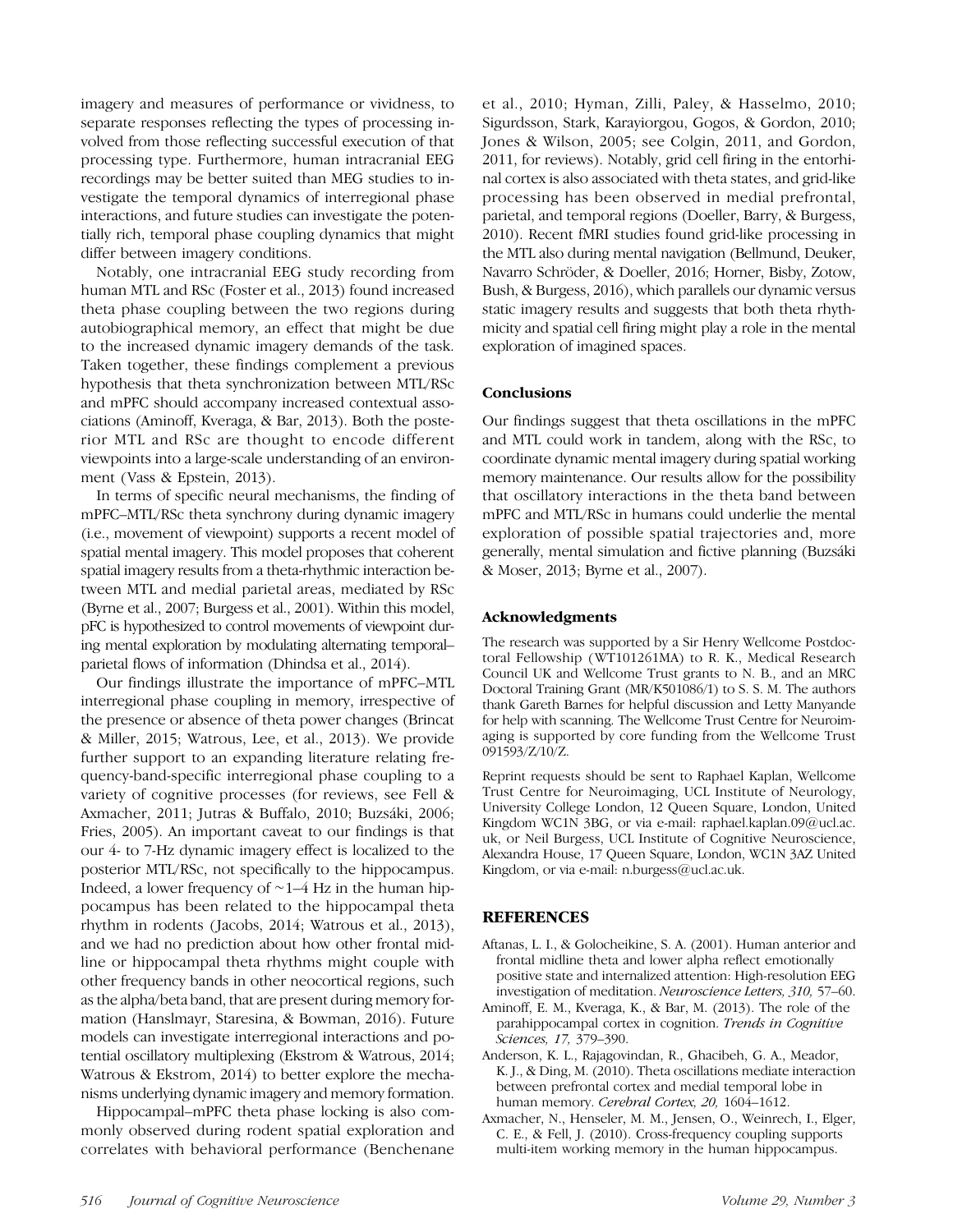imagery and measures of performance or vividness, to separate responses reflecting the types of processing involved from those reflecting successful execution of that processing type. Furthermore, human intracranial EEG recordings may be better suited than MEG studies to investigate the temporal dynamics of interregional phase interactions, and future studies can investigate the potentially rich, temporal phase coupling dynamics that might differ between imagery conditions.

Notably, one intracranial EEG study recording from human MTL and RSc (Foster et al., 2013) found increased theta phase coupling between the two regions during autobiographical memory, an effect that might be due to the increased dynamic imagery demands of the task. Taken together, these findings complement a previous hypothesis that theta synchronization between MTL/RSc and mPFC should accompany increased contextual associations (Aminoff, Kveraga, & Bar, 2013). Both the posterior MTL and RSc are thought to encode different viewpoints into a large-scale understanding of an environment (Vass & Epstein, 2013).

In terms of specific neural mechanisms, the finding of mPFC–MTL/RSc theta synchrony during dynamic imagery (i.e., movement of viewpoint) supports a recent model of spatial mental imagery. This model proposes that coherent spatial imagery results from a theta-rhythmic interaction between MTL and medial parietal areas, mediated by RSc (Byrne et al., 2007; Burgess et al., 2001). Within this model, pFC is hypothesized to control movements of viewpoint during mental exploration by modulating alternating temporal– parietal flows of information (Dhindsa et al., 2014).

Our findings illustrate the importance of mPFC–MTL interregional phase coupling in memory, irrespective of the presence or absence of theta power changes (Brincat & Miller, 2015; Watrous, Lee, et al., 2013). We provide further support to an expanding literature relating frequency-band-specific interregional phase coupling to a variety of cognitive processes (for reviews, see Fell & Axmacher, 2011; Jutras & Buffalo, 2010; Buzsáki, 2006; Fries, 2005). An important caveat to our findings is that our 4- to 7-Hz dynamic imagery effect is localized to the posterior MTL/RSc, not specifically to the hippocampus. Indeed, a lower frequency of ∼1–4 Hz in the human hippocampus has been related to the hippocampal theta rhythm in rodents (Jacobs, 2014; Watrous et al., 2013), and we had no prediction about how other frontal midline or hippocampal theta rhythms might couple with other frequency bands in other neocortical regions, such as the alpha/beta band, that are present during memory formation (Hanslmayr, Staresina, & Bowman, 2016). Future models can investigate interregional interactions and potential oscillatory multiplexing (Ekstrom & Watrous, 2014; Watrous & Ekstrom, 2014) to better explore the mechanisms underlying dynamic imagery and memory formation.

Hippocampal–mPFC theta phase locking is also commonly observed during rodent spatial exploration and correlates with behavioral performance (Benchenane

et al., 2010; Hyman, Zilli, Paley, & Hasselmo, 2010; Sigurdsson, Stark, Karayiorgou, Gogos, & Gordon, 2010; Jones & Wilson, 2005; see Colgin, 2011, and Gordon, 2011, for reviews). Notably, grid cell firing in the entorhinal cortex is also associated with theta states, and grid-like processing has been observed in medial prefrontal, parietal, and temporal regions (Doeller, Barry, & Burgess, 2010). Recent fMRI studies found grid-like processing in the MTL also during mental navigation (Bellmund, Deuker, Navarro Schröder, & Doeller, 2016; Horner, Bisby, Zotow, Bush, & Burgess, 2016), which parallels our dynamic versus static imagery results and suggests that both theta rhythmicity and spatial cell firing might play a role in the mental exploration of imagined spaces.

# **Conclusions**

Our findings suggest that theta oscillations in the mPFC and MTL could work in tandem, along with the RSc, to coordinate dynamic mental imagery during spatial working memory maintenance. Our results allow for the possibility that oscillatory interactions in the theta band between mPFC and MTL/RSc in humans could underlie the mental exploration of possible spatial trajectories and, more generally, mental simulation and fictive planning (Buzsáki & Moser, 2013; Byrne et al., 2007).

#### Acknowledgments

The research was supported by a Sir Henry Wellcome Postdoctoral Fellowship (WT101261MA) to R. K., Medical Research Council UK and Wellcome Trust grants to N. B., and an MRC Doctoral Training Grant (MR/K501086/1) to S. S. M. The authors thank Gareth Barnes for helpful discussion and Letty Manyande for help with scanning. The Wellcome Trust Centre for Neuroimaging is supported by core funding from the Wellcome Trust 091593/Z/10/Z.

Reprint requests should be sent to Raphael Kaplan, Wellcome Trust Centre for Neuroimaging, UCL Institute of Neurology, University College London, 12 Queen Square, London, United Kingdom WC1N 3BG, or via e-mail: raphael.kaplan.09@ucl.ac. uk, or Neil Burgess, UCL Institute of Cognitive Neuroscience, Alexandra House, 17 Queen Square, London, WC1N 3AZ United Kingdom, or via e-mail: n.burgess@ucl.ac.uk.

# **REFERENCES**

- Aftanas, L. I., & Golocheikine, S. A. (2001). Human anterior and frontal midline theta and lower alpha reflect emotionally positive state and internalized attention: High-resolution EEG investigation of meditation. Neuroscience Letters, 310, 57–60.
- Aminoff, E. M., Kveraga, K., & Bar, M. (2013). The role of the parahippocampal cortex in cognition. Trends in Cognitive Sciences, 17, 379–390.
- Anderson, K. L., Rajagovindan, R., Ghacibeh, G. A., Meador, K. J., & Ding, M. (2010). Theta oscillations mediate interaction between prefrontal cortex and medial temporal lobe in human memory. Cerebral Cortex, 20, 1604–1612.
- Axmacher, N., Henseler, M. M., Jensen, O., Weinrech, I., Elger, C. E., & Fell, J. (2010). Cross-frequency coupling supports multi-item working memory in the human hippocampus.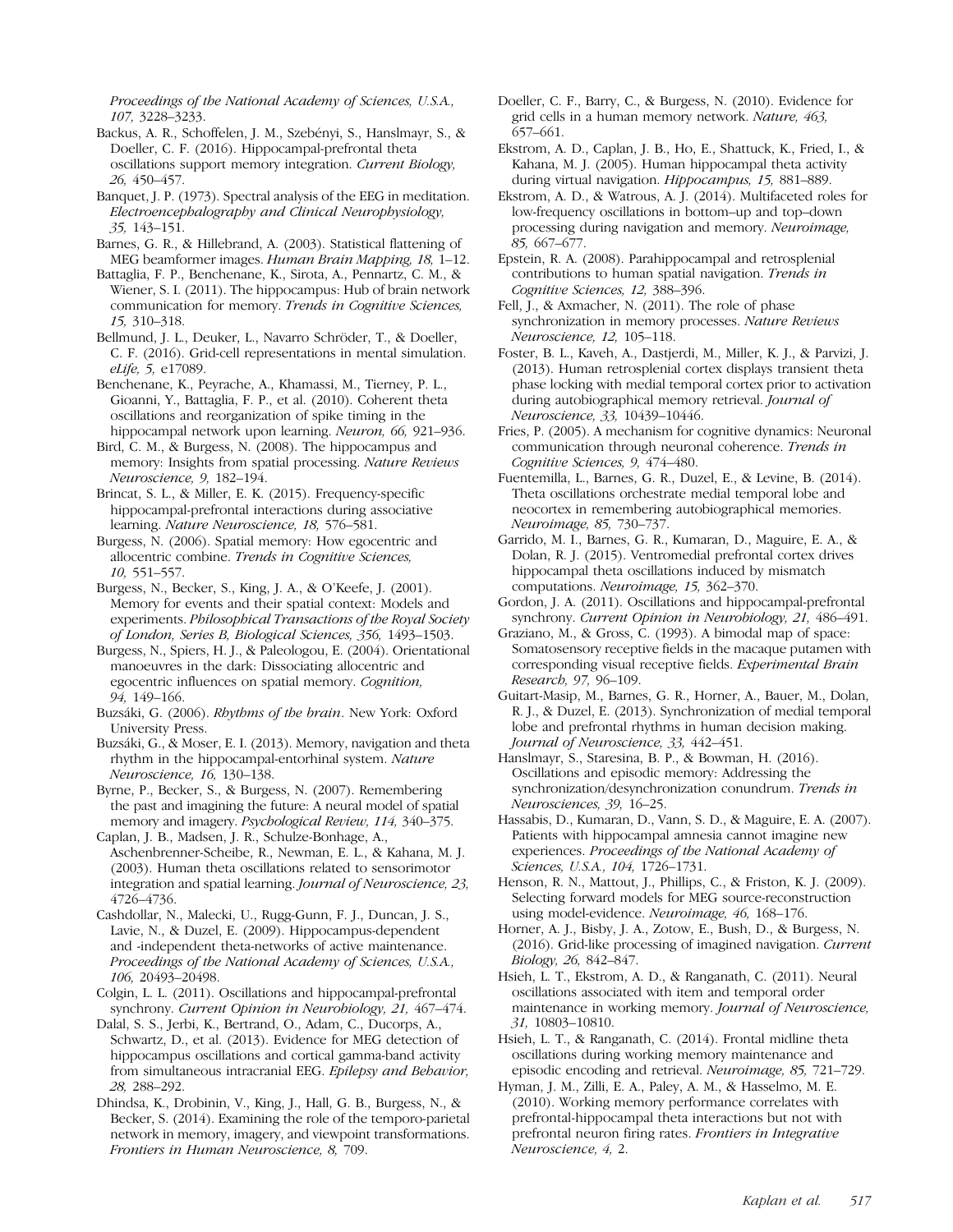Proceedings of the National Academy of Sciences, U.S.A., 107, 3228–3233.

- Backus, A. R., Schoffelen, J. M., Szebényi, S., Hanslmayr, S., & Doeller, C. F. (2016). Hippocampal-prefrontal theta oscillations support memory integration. Current Biology, 26, 450–457.
- Banquet, J. P. (1973). Spectral analysis of the EEG in meditation. Electroencephalography and Clinical Neurophysiology, 35, 143–151.
- Barnes, G. R., & Hillebrand, A. (2003). Statistical flattening of MEG beamformer images. Human Brain Mapping, 18, 1–12.
- Battaglia, F. P., Benchenane, K., Sirota, A., Pennartz, C. M., & Wiener, S. I. (2011). The hippocampus: Hub of brain network communication for memory. Trends in Cognitive Sciences, 15, 310–318.
- Bellmund, J. L., Deuker, L., Navarro Schröder, T., & Doeller, C. F. (2016). Grid-cell representations in mental simulation. eLife, 5, e17089.
- Benchenane, K., Peyrache, A., Khamassi, M., Tierney, P. L., Gioanni, Y., Battaglia, F. P., et al. (2010). Coherent theta oscillations and reorganization of spike timing in the hippocampal network upon learning. Neuron, 66, 921–936.
- Bird, C. M., & Burgess, N. (2008). The hippocampus and memory: Insights from spatial processing. Nature Reviews Neuroscience, 9, 182–194.
- Brincat, S. L., & Miller, E. K. (2015). Frequency-specific hippocampal-prefrontal interactions during associative learning. Nature Neuroscience, 18, 576–581.
- Burgess, N. (2006). Spatial memory: How egocentric and allocentric combine. Trends in Cognitive Sciences, 10, 551–557.
- Burgess, N., Becker, S., King, J. A., & O'Keefe, J. (2001). Memory for events and their spatial context: Models and experiments. Philosophical Transactions of the Royal Society of London, Series B, Biological Sciences, 356, 1493–1503.
- Burgess, N., Spiers, H. J., & Paleologou, E. (2004). Orientational manoeuvres in the dark: Dissociating allocentric and egocentric influences on spatial memory. Cognition, 94, 149–166.
- Buzsáki, G. (2006). Rhythms of the brain. New York: Oxford University Press.
- Buzsáki, G., & Moser, E. I. (2013). Memory, navigation and theta rhythm in the hippocampal-entorhinal system. Nature Neuroscience, 16, 130–138.
- Byrne, P., Becker, S., & Burgess, N. (2007). Remembering the past and imagining the future: A neural model of spatial memory and imagery. Psychological Review, 114, 340–375.
- Caplan, J. B., Madsen, J. R., Schulze-Bonhage, A., Aschenbrenner-Scheibe, R., Newman, E. L., & Kahana, M. J. (2003). Human theta oscillations related to sensorimotor integration and spatial learning. Journal of Neuroscience, 23, 4726–4736.
- Cashdollar, N., Malecki, U., Rugg-Gunn, F. J., Duncan, J. S., Lavie, N., & Duzel, E. (2009). Hippocampus-dependent and -independent theta-networks of active maintenance. Proceedings of the National Academy of Sciences, U.S.A., 106, 20493–20498.
- Colgin, L. L. (2011). Oscillations and hippocampal-prefrontal synchrony. Current Opinion in Neurobiology, 21, 467-474.
- Dalal, S. S., Jerbi, K., Bertrand, O., Adam, C., Ducorps, A., Schwartz, D., et al. (2013). Evidence for MEG detection of hippocampus oscillations and cortical gamma-band activity from simultaneous intracranial EEG. Epilepsy and Behavior, 28, 288–292.
- Dhindsa, K., Drobinin, V., King, J., Hall, G. B., Burgess, N., & Becker, S. (2014). Examining the role of the temporo-parietal network in memory, imagery, and viewpoint transformations. Frontiers in Human Neuroscience, 8, 709.
- Doeller, C. F., Barry, C., & Burgess, N. (2010). Evidence for grid cells in a human memory network. Nature, 463, 657–661.
- Ekstrom, A. D., Caplan, J. B., Ho, E., Shattuck, K., Fried, I., & Kahana, M. J. (2005). Human hippocampal theta activity during virtual navigation. Hippocampus, 15, 881–889.
- Ekstrom, A. D., & Watrous, A. J. (2014). Multifaceted roles for low-frequency oscillations in bottom–up and top–down processing during navigation and memory. Neuroimage, 85, 667–677.
- Epstein, R. A. (2008). Parahippocampal and retrosplenial contributions to human spatial navigation. Trends in Cognitive Sciences, 12, 388–396.
- Fell, J., & Axmacher, N. (2011). The role of phase synchronization in memory processes. Nature Reviews Neuroscience, 12, 105–118.
- Foster, B. L., Kaveh, A., Dastjerdi, M., Miller, K. J., & Parvizi, J. (2013). Human retrosplenial cortex displays transient theta phase locking with medial temporal cortex prior to activation during autobiographical memory retrieval. Journal of Neuroscience, 33, 10439–10446.
- Fries, P. (2005). A mechanism for cognitive dynamics: Neuronal communication through neuronal coherence. Trends in Cognitive Sciences, 9, 474–480.
- Fuentemilla, L., Barnes, G. R., Duzel, E., & Levine, B. (2014). Theta oscillations orchestrate medial temporal lobe and neocortex in remembering autobiographical memories. Neuroimage, 85, 730–737.
- Garrido, M. I., Barnes, G. R., Kumaran, D., Maguire, E. A., & Dolan, R. J. (2015). Ventromedial prefrontal cortex drives hippocampal theta oscillations induced by mismatch computations. Neuroimage, 15, 362–370.
- Gordon, J. A. (2011). Oscillations and hippocampal-prefrontal synchrony. Current Opinion in Neurobiology, 21, 486–491.
- Graziano, M., & Gross, C. (1993). A bimodal map of space: Somatosensory receptive fields in the macaque putamen with corresponding visual receptive fields. Experimental Brain Research, 97, 96–109.
- Guitart-Masip, M., Barnes, G. R., Horner, A., Bauer, M., Dolan, R. J., & Duzel, E. (2013). Synchronization of medial temporal lobe and prefrontal rhythms in human decision making. Journal of Neuroscience, 33, 442–451.
- Hanslmayr, S., Staresina, B. P., & Bowman, H. (2016). Oscillations and episodic memory: Addressing the synchronization/desynchronization conundrum. Trends in Neurosciences, 39, 16–25.
- Hassabis, D., Kumaran, D., Vann, S. D., & Maguire, E. A. (2007). Patients with hippocampal amnesia cannot imagine new experiences. Proceedings of the National Academy of Sciences, U.S.A., 104, 1726–1731.
- Henson, R. N., Mattout, J., Phillips, C., & Friston, K. J. (2009). Selecting forward models for MEG source-reconstruction using model-evidence. Neuroimage, 46, 168–176.
- Horner, A. J., Bisby, J. A., Zotow, E., Bush, D., & Burgess, N. (2016). Grid-like processing of imagined navigation. Current Biology, 26, 842–847.
- Hsieh, L. T., Ekstrom, A. D., & Ranganath, C. (2011). Neural oscillations associated with item and temporal order maintenance in working memory. Journal of Neuroscience, 31, 10803–10810.
- Hsieh, L. T., & Ranganath, C. (2014). Frontal midline theta oscillations during working memory maintenance and episodic encoding and retrieval. Neuroimage, 85, 721–729.
- Hyman, J. M., Zilli, E. A., Paley, A. M., & Hasselmo, M. E. (2010). Working memory performance correlates with prefrontal-hippocampal theta interactions but not with prefrontal neuron firing rates. Frontiers in Integrative Neuroscience, 4, 2.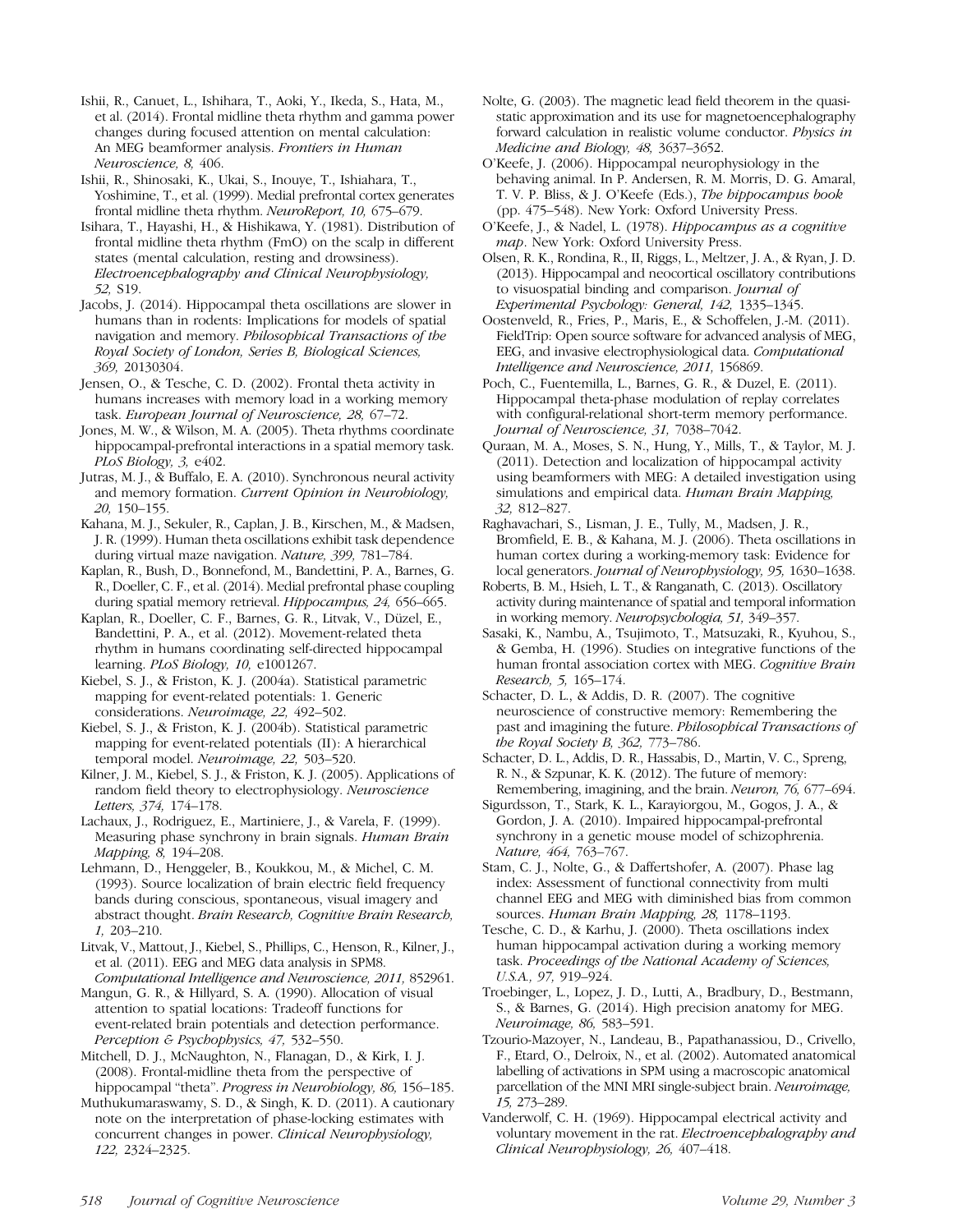Ishii, R., Canuet, L., Ishihara, T., Aoki, Y., Ikeda, S., Hata, M., et al. (2014). Frontal midline theta rhythm and gamma power changes during focused attention on mental calculation: An MEG beamformer analysis. Frontiers in Human Neuroscience, 8, 406.

Ishii, R., Shinosaki, K., Ukai, S., Inouye, T., Ishiahara, T., Yoshimine, T., et al. (1999). Medial prefrontal cortex generates frontal midline theta rhythm. NeuroReport, 10, 675–679.

Isihara, T., Hayashi, H., & Hishikawa, Y. (1981). Distribution of frontal midline theta rhythm (FmO) on the scalp in different states (mental calculation, resting and drowsiness). Electroencephalography and Clinical Neurophysiology, 52, S19.

Jacobs, J. (2014). Hippocampal theta oscillations are slower in humans than in rodents: Implications for models of spatial navigation and memory. Philosophical Transactions of the Royal Society of London, Series B, Biological Sciences, 369, 20130304.

Jensen, O., & Tesche, C. D. (2002). Frontal theta activity in humans increases with memory load in a working memory task. European Journal of Neuroscience, 28, 67–72.

Jones, M. W., & Wilson, M. A. (2005). Theta rhythms coordinate hippocampal-prefrontal interactions in a spatial memory task. PLoS Biology, 3, e402.

Jutras, M. J., & Buffalo, E. A. (2010). Synchronous neural activity and memory formation. Current Opinion in Neurobiology, 20, 150–155.

Kahana, M. J., Sekuler, R., Caplan, J. B., Kirschen, M., & Madsen, J. R. (1999). Human theta oscillations exhibit task dependence during virtual maze navigation. Nature, 399, 781–784.

Kaplan, R., Bush, D., Bonnefond, M., Bandettini, P. A., Barnes, G. R., Doeller, C. F., et al. (2014). Medial prefrontal phase coupling during spatial memory retrieval. Hippocampus, 24, 656–665.

Kaplan, R., Doeller, C. F., Barnes, G. R., Litvak, V., Düzel, E., Bandettini, P. A., et al. (2012). Movement-related theta rhythm in humans coordinating self-directed hippocampal learning. PLoS Biology, 10, e1001267.

Kiebel, S. J., & Friston, K. J. (2004a). Statistical parametric mapping for event-related potentials: 1. Generic considerations. Neuroimage, 22, 492–502.

Kiebel, S. J., & Friston, K. J. (2004b). Statistical parametric mapping for event-related potentials (II): A hierarchical temporal model. Neuroimage, 22, 503–520.

Kilner, J. M., Kiebel, S. J., & Friston, K. J. (2005). Applications of random field theory to electrophysiology. Neuroscience Letters, 374, 174–178.

Lachaux, J., Rodriguez, E., Martiniere, J., & Varela, F. (1999). Measuring phase synchrony in brain signals. Human Brain Mapping, 8, 194–208.

Lehmann, D., Henggeler, B., Koukkou, M., & Michel, C. M. (1993). Source localization of brain electric field frequency bands during conscious, spontaneous, visual imagery and abstract thought. Brain Research, Cognitive Brain Research, 1, 203–210.

Litvak, V., Mattout, J., Kiebel, S., Phillips, C., Henson, R., Kilner, J., et al. (2011). EEG and MEG data analysis in SPM8.

Computational Intelligence and Neuroscience, 2011, 852961. Mangun, G. R., & Hillyard, S. A. (1990). Allocation of visual attention to spatial locations: Tradeoff functions for event-related brain potentials and detection performance. Perception & Psychophysics, 47, 532–550.

Mitchell, D. J., McNaughton, N., Flanagan, D., & Kirk, I. J. (2008). Frontal-midline theta from the perspective of hippocampal "theta". Progress in Neurobiology, 86, 156-185.

Muthukumaraswamy, S. D., & Singh, K. D. (2011). A cautionary note on the interpretation of phase-locking estimates with concurrent changes in power. Clinical Neurophysiology, 122, 2324–2325.

Nolte, G. (2003). The magnetic lead field theorem in the quasistatic approximation and its use for magnetoencephalography forward calculation in realistic volume conductor. Physics in Medicine and Biology, 48, 3637–3652.

O'Keefe, J. (2006). Hippocampal neurophysiology in the behaving animal. In P. Andersen, R. M. Morris, D. G. Amaral, T. V. P. Bliss, & J. O'Keefe (Eds.), The hippocampus book (pp. 475–548). New York: Oxford University Press.

O'Keefe, J., & Nadel, L. (1978). Hippocampus as a cognitive map. New York: Oxford University Press.

Olsen, R. K., Rondina, R., II, Riggs, L., Meltzer, J. A., & Ryan, J. D. (2013). Hippocampal and neocortical oscillatory contributions to visuospatial binding and comparison. Journal of Experimental Psychology: General, 142, 1335–1345.

Oostenveld, R., Fries, P., Maris, E., & Schoffelen, J.-M. (2011). FieldTrip: Open source software for advanced analysis of MEG, EEG, and invasive electrophysiological data. Computational Intelligence and Neuroscience, 2011, 156869.

Poch, C., Fuentemilla, L., Barnes, G. R., & Duzel, E. (2011). Hippocampal theta-phase modulation of replay correlates with configural-relational short-term memory performance. Journal of Neuroscience, 31, 7038–7042.

Quraan, M. A., Moses, S. N., Hung, Y., Mills, T., & Taylor, M. J. (2011). Detection and localization of hippocampal activity using beamformers with MEG: A detailed investigation using simulations and empirical data. *Human Brain Mapping*, 32, 812–827.

Raghavachari, S., Lisman, J. E., Tully, M., Madsen, J. R., Bromfield, E. B., & Kahana, M. J. (2006). Theta oscillations in human cortex during a working-memory task: Evidence for local generators. Journal of Neurophysiology, 95, 1630–1638.

Roberts, B. M., Hsieh, L. T., & Ranganath, C. (2013). Oscillatory activity during maintenance of spatial and temporal information in working memory. Neuropsychologia, 51, 349–357.

Sasaki, K., Nambu, A., Tsujimoto, T., Matsuzaki, R., Kyuhou, S., & Gemba, H. (1996). Studies on integrative functions of the human frontal association cortex with MEG. Cognitive Brain Research, 5, 165–174.

Schacter, D. L., & Addis, D. R. (2007). The cognitive neuroscience of constructive memory: Remembering the past and imagining the future. Philosophical Transactions of the Royal Society B, 362, 773–786.

Schacter, D. L., Addis, D. R., Hassabis, D., Martin, V. C., Spreng, R. N., & Szpunar, K. K. (2012). The future of memory: Remembering, imagining, and the brain. Neuron, 76, 677–694.

Sigurdsson, T., Stark, K. L., Karayiorgou, M., Gogos, J. A., & Gordon, J. A. (2010). Impaired hippocampal-prefrontal synchrony in a genetic mouse model of schizophrenia. Nature, 464, 763–767.

Stam, C. J., Nolte, G., & Daffertshofer, A. (2007). Phase lag index: Assessment of functional connectivity from multi channel EEG and MEG with diminished bias from common sources. Human Brain Mapping, 28, 1178–1193.

Tesche, C. D., & Karhu, J. (2000). Theta oscillations index human hippocampal activation during a working memory task. Proceedings of the National Academy of Sciences, U.S.A., 97, 919–924.

Troebinger, L., Lopez, J. D., Lutti, A., Bradbury, D., Bestmann, S., & Barnes, G. (2014). High precision anatomy for MEG. Neuroimage, 86, 583–591.

Tzourio-Mazoyer, N., Landeau, B., Papathanassiou, D., Crivello, F., Etard, O., Delroix, N., et al. (2002). Automated anatomical labelling of activations in SPM using a macroscopic anatomical parcellation of the MNI MRI single-subject brain. Neuroimage, 15, 273–289.

Vanderwolf, C. H. (1969). Hippocampal electrical activity and voluntary movement in the rat. Electroencephalography and Clinical Neurophysiology, 26, 407–418.